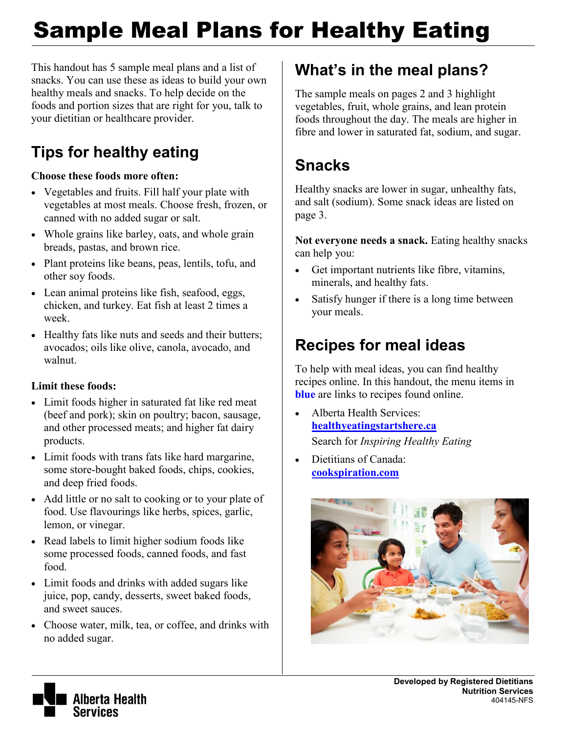# Sample Meal Plans for Healthy Eating

This handout has 5 sample meal plans and a list of snacks. You can use these as ideas to build your own healthy meals and snacks. To help decide on the foods and portion sizes that are right for you, talk to your dietitian or healthcare provider.

# **Tips for healthy eating**

#### **Choose these foods more often:**

- Vegetables and fruits. Fill half your plate with vegetables at most meals. Choose fresh, frozen, or canned with no added sugar or salt.
- Whole grains like barley, oats, and whole grain breads, pastas, and brown rice.
- Plant proteins like beans, peas, lentils, tofu, and other soy foods.
- Lean animal proteins like fish, seafood, eggs, chicken, and turkey. Eat fish at least 2 times a week.
- Healthy fats like nuts and seeds and their butters; avocados; oils like olive, canola, avocado, and walnut.

#### **Limit these foods:**

- Limit foods higher in saturated fat like red meat (beef and pork); skin on poultry; bacon, sausage, and other processed meats; and higher fat dairy products.
- Limit foods with trans fats like hard margarine, some store-bought baked foods, chips, cookies, and deep fried foods.
- Add little or no salt to cooking or to your plate of food. Use flavourings like herbs, spices, garlic, lemon, or vinegar.
- Read labels to limit higher sodium foods like some processed foods, canned foods, and fast food.
- Limit foods and drinks with added sugars like juice, pop, candy, desserts, sweet baked foods, and sweet sauces.
- Choose water, milk, tea, or coffee, and drinks with no added sugar.

### **What's in the meal plans?**

The sample meals on pages 2 and 3 highlight vegetables, fruit, whole grains, and lean protein foods throughout the day. The meals are higher in fibre and lower in saturated fat, sodium, and sugar.

# **Snacks**

Healthy snacks are lower in sugar, unhealthy fats, and salt (sodium). Some snack ideas are listed on page 3.

**Not everyone needs a snack.** Eating healthy snacks can help you:

- Get important nutrients like fibre, vitamins, minerals, and healthy fats.
- Satisfy hunger if there is a long time between your meals.

## **Recipes for meal ideas**

To help with meal ideas, you can find healthy recipes online. In this handout, the menu items in **blue** are links to recipes found online.

- Alberta Health Services: **[healthyeatingstartshere.ca](https://www.albertahealthservices.ca/nutrition/Page10996.aspx)** Search for *Inspiring Healthy Eating*
- Dietitians of Canada: **[cookspiration.com](http://www.cookspiration.com/)**



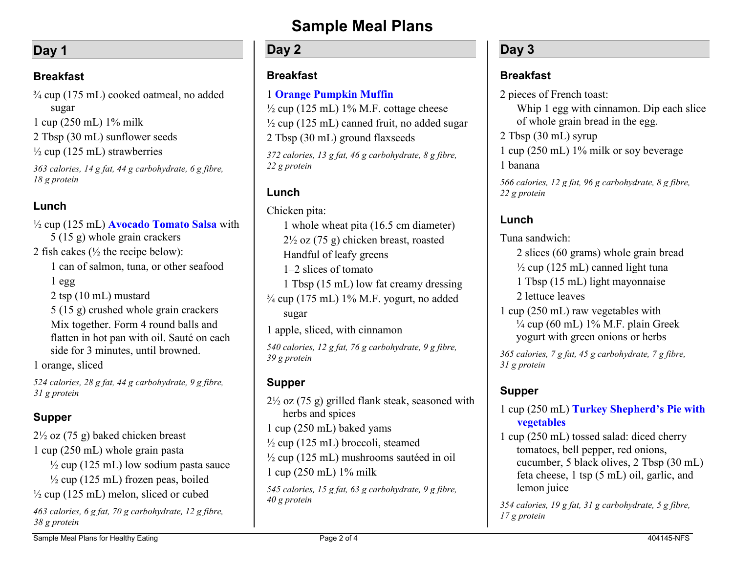#### **Day 1**

#### **Breakfast**

¾ cup (175 mL) cooked oatmeal, no added sugar 1 cup (250 mL) 1% milk 2 Tbsp (30 mL) sunflower seeds  $\frac{1}{2}$  cup (125 mL) strawberries *363 calories, 14 g fat, 44 g carbohydrate, 6 g fibre, 18 g protein*

#### **Lunch**

½ cup (125 mL) **[Avocado Tomato Salsa](https://www.albertahealthservices.ca/assets/info/nutrition/if-nfs-avocado-tomato-salsa.pdf)** with 5 (15 g) whole grain crackers 2 fish cakes  $\frac{1}{2}$  the recipe below): 1 can of salmon, tuna, or other seafood 1 egg 2 tsp (10 mL) mustard 5 (15 g) crushed whole grain crackers Mix together. Form 4 round balls and flatten in hot pan with oil. Sauté on each side for 3 minutes, until browned. 1 orange, sliced

*524 calories, 28 g fat, 44 g carbohydrate, 9 g fibre, 31 g protein*

#### **Supper**

2½ oz (75 g) baked chicken breast 1 cup (250 mL) whole grain pasta  $\frac{1}{2}$  cup (125 mL) low sodium pasta sauce  $\frac{1}{2}$  cup (125 mL) frozen peas, boiled  $\frac{1}{2}$  cup (125 mL) melon, sliced or cubed

*463 calories, 6 g fat, 70 g carbohydrate, 12 g fibre, 38 g protein*

### **Sample Meal Plans**

#### **Day 2**

#### **Breakfast**

#### 1 **[Orange Pumpkin Muffin](http://www.albertahealthservices.ca/assets/info/nutrition/if-nfs-orange-pumpkin-muffins.pdf)**

 $\frac{1}{2}$  cup (125 mL) 1% M.F. cottage cheese  $\frac{1}{2}$  cup (125 mL) canned fruit, no added sugar 2 Tbsp (30 mL) ground flaxseeds

*372 calories, 13 g fat, 46 g carbohydrate, 8 g fibre, 22 g protein*

#### **Lunch**

Chicken pita:

1 whole wheat pita (16.5 cm diameter)  $2\frac{1}{2}$  oz (75 g) chicken breast, roasted Handful of leafy greens 1–2 slices of tomato 1 Tbsp (15 mL) low fat creamy dressing  $\frac{3}{4}$  cup (175 mL) 1% M.F. yogurt, no added sugar

1 apple, sliced, with cinnamon

*540 calories, 12 g fat, 76 g carbohydrate, 9 g fibre, 39 g protein* 

#### **Supper**

 $2\frac{1}{2}$  oz (75 g) grilled flank steak, seasoned with herbs and spices 1 cup (250 mL) baked yams  $\frac{1}{2}$  cup (125 mL) broccoli, steamed ½ cup (125 mL) mushrooms sautéed in oil 1 cup (250 mL) 1% milk *545 calories, 15 g fat, 63 g carbohydrate, 9 g fibre, 40 g protein*

#### **Day 3**

#### **Breakfast**

2 pieces of French toast:

Whip 1 egg with cinnamon. Dip each slice of whole grain bread in the egg.

2 Tbsp (30 mL) syrup

1 cup (250 mL) 1% milk or soy beverage 1 banana

*566 calories, 12 g fat, 96 g carbohydrate, 8 g fibre, 22 g protein*

#### **Lunch**

Tuna sandwich:

2 slices (60 grams) whole grain bread

 $\frac{1}{2}$  cup (125 mL) canned light tuna

1 Tbsp (15 mL) light mayonnaise

2 lettuce leaves

1 cup (250 mL) raw vegetables with  $\frac{1}{4}$  cup (60 mL) 1% M.F. plain Greek yogurt with green onions or herbs

*365 calories, 7 g fat, 45 g carbohydrate, 7 g fibre, 31 g protein* 

#### **Supper**

1 cup (250 mL) **[Turkey Shepherd's Pie](https://www.albertahealthservices.ca/assets/info/nutrition/if-nfs-turkey-shepherds-pie.pdf) with vegetables**

1 cup (250 mL) tossed salad: diced cherry tomatoes, bell pepper, red onions, cucumber, 5 black olives, 2 Tbsp (30 mL) feta cheese, 1 tsp (5 mL) oil, garlic, and lemon juice

*354 calories, 19 g fat, 31 g carbohydrate, 5 g fibre, 17 g protein*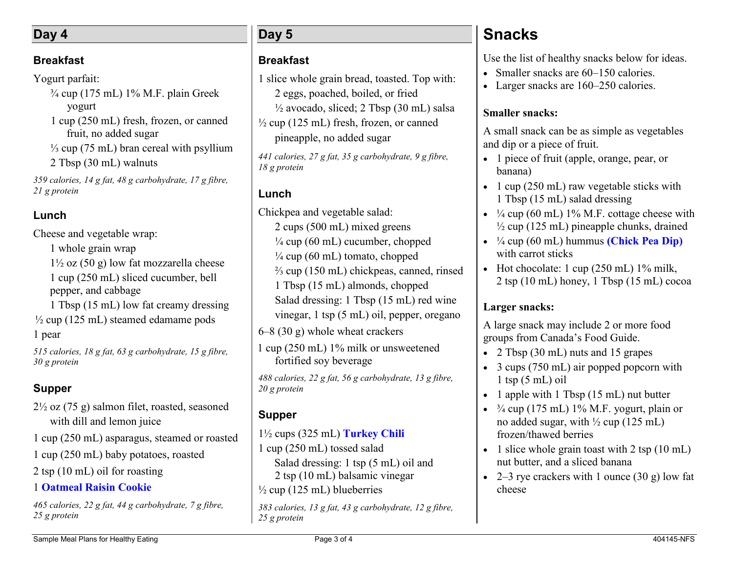#### **Day 4**

#### **Breakfast**

Yogurt parfait:

 $\frac{3}{4}$  cup (175 mL) 1% M.F. plain Greek yogurt 1 cup (250 mL) fresh, frozen, or canned fruit, no added sugar ⅓ cup (75 mL) bran cereal with psyllium 2 Tbsp (30 mL) walnuts

*359 calories, 14 g fat, 48 g carbohydrate, 17 g fibre, 21 g protein*

#### **Lunch**

Cheese and vegetable wrap: 1 whole grain wrap  $1\frac{1}{2}$  oz (50 g) low fat mozzarella cheese 1 cup (250 mL) sliced cucumber, bell pepper, and cabbage

1 Tbsp (15 mL) low fat creamy dressing  $\frac{1}{2}$  cup (125 mL) steamed edamame pods 1 pear

*515 calories, 18 g fat, 63 g carbohydrate, 15 g fibre, 30 g protein*

#### **Supper**

- 2½ oz (75 g) salmon filet, roasted, seasoned with dill and lemon juice
- 1 cup (250 mL) asparagus, steamed or roasted
- 1 cup (250 mL) baby potatoes, roasted
- 2 tsp (10 mL) oil for roasting

#### 1 **[Oatmeal Raisin Cookie](http://www.cookspiration.com/recipe.aspx?perma=7437F1DD9DD&g=8)**

*465 calories, 22 g fat, 44 g carbohydrate, 7 g fibre, 25 g protein*

#### **Day 5**

#### **Breakfast**

1 slice whole grain bread, toasted. Top with: 2 eggs, poached, boiled, or fried  $\frac{1}{2}$  avocado, sliced; 2 Tbsp (30 mL) salsa  $\frac{1}{2}$  cup (125 mL) fresh, frozen, or canned pineapple, no added sugar

*441 calories, 27 g fat, 35 g carbohydrate, 9 g fibre, 18 g protein*

#### **Lunch**

Chickpea and vegetable salad:

2 cups (500 mL) mixed greens  $\frac{1}{4}$  cup (60 mL) cucumber, chopped

- $\frac{1}{4}$  cup (60 mL) tomato, chopped
- ⅔ cup (150 mL) chickpeas, canned, rinsed
- 1 Tbsp (15 mL) almonds, chopped

Salad dressing: 1 Tbsp (15 mL) red wine

vinegar, 1 tsp (5 mL) oil, pepper, oregano

6–8 (30 g) whole wheat crackers

1 cup (250 mL) 1% milk or unsweetened fortified soy beverage

*488 calories, 22 g fat, 56 g carbohydrate, 13 g fibre, 20 g protein*

#### **Supper**

#### 1½ cups (325 mL) **[Turkey Chili](http://www.cookspiration.com/recipe.aspx?perma=1p3lVA7mKgk&g=5)**

1 cup (250 mL) tossed salad Salad dressing: 1 tsp (5 mL) oil and 2 tsp (10 mL) balsamic vinegar  $\frac{1}{2}$  cup (125 mL) blueberries

*383 calories, 13 g fat, 43 g carbohydrate, 12 g fibre, 25 g protein*

### **Snacks**

Use the list of healthy snacks below for ideas.

- Smaller snacks are 60–150 calories.
- Larger snacks are 160–250 calories.

#### **Smaller snacks:**

A small snack can be as simple as vegetables and dip or a piece of fruit.

- 1 piece of fruit (apple, orange, pear, or banana)
- $\cdot$  1 cup (250 mL) raw vegetable sticks with 1 Tbsp (15 mL) salad dressing
- $\cdot$   $\frac{1}{4}$  cup (60 mL) 1% M.F. cottage cheese with  $\frac{1}{2}$  cup (125 mL) pineapple chunks, drained
- ¼ cup (60 mL) hummus **[\(Chick Pea Dip\)](http://www.albertahealthservices.ca/assets/info/nutrition/if-nfs-chick-pea-dip.pdf)** with carrot sticks
- Hot chocolate: 1 cup  $(250 \text{ mL})$  1% milk, 2 tsp (10 mL) honey, 1 Tbsp (15 mL) cocoa

#### **Larger snacks:**

A large snack may include 2 or more food groups from Canada's Food Guide.

- 2 Tbsp (30 mL) nuts and 15 grapes
- 3 cups (750 mL) air popped popcorn with  $1$  tsp  $(5$  mL) oil
- 1 apple with 1 Tbsp  $(15 \text{ mL})$  nut butter
- $\frac{3}{4}$  cup (175 mL) 1% M.F. yogurt, plain or no added sugar, with  $\frac{1}{2}$  cup (125 mL) frozen/thawed berries
- $\bullet$  1 slice whole grain toast with 2 tsp (10 mL) nut butter, and a sliced banana
- 2–3 rye crackers with 1 ounce  $(30 \text{ g})$  low fat cheese